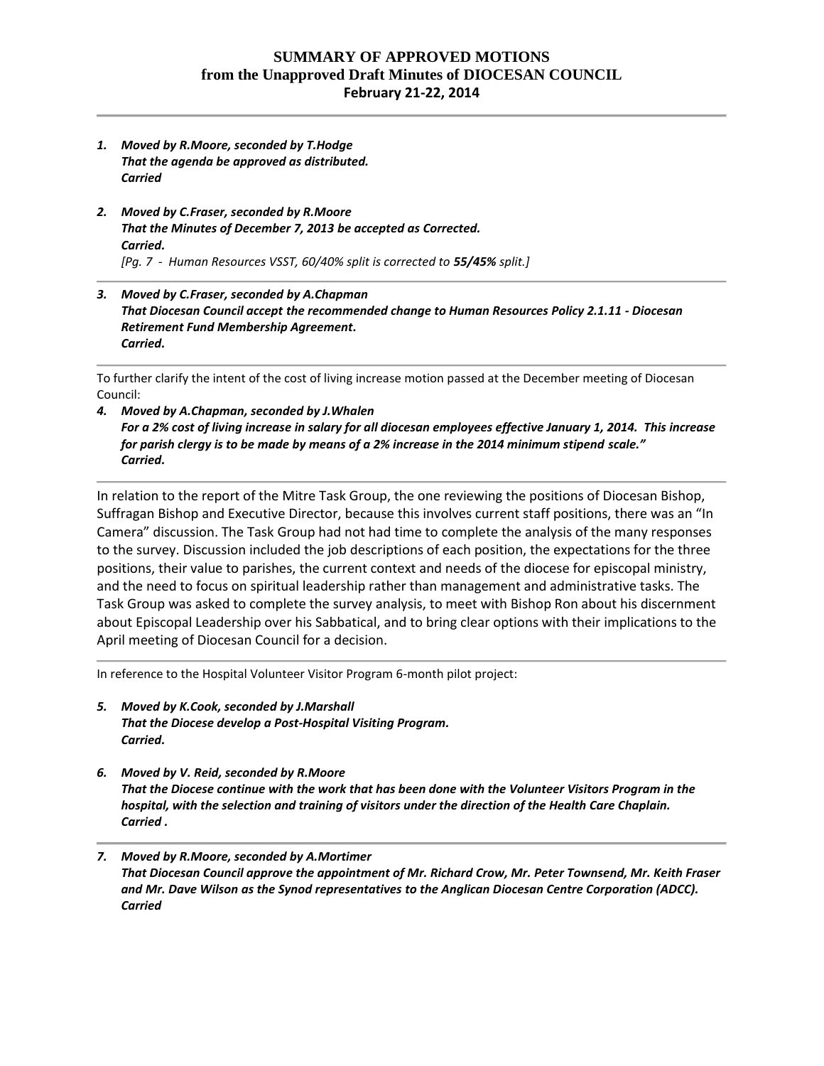## **SUMMARY OF APPROVED MOTIONS from the Unapproved Draft Minutes of DIOCESAN COUNCIL February 21-22, 2014**

- *1. Moved by R.Moore, seconded by T.Hodge That the agenda be approved as distributed. Carried*
- *2. Moved by C.Fraser, seconded by R.Moore That the Minutes of December 7, 2013 be accepted as Corrected. Carried. [Pg. 7 - Human Resources VSST, 60/40% split is corrected to 55/45% split.]*
- *3. Moved by C.Fraser, seconded by A.Chapman That Diocesan Council accept the recommended change to Human Resources Policy 2.1.11 - Diocesan Retirement Fund Membership Agreement. Carried.*

To further clarify the intent of the cost of living increase motion passed at the December meeting of Diocesan Council:

*4. Moved by A.Chapman, seconded by J.Whalen For a 2% cost of living increase in salary for all diocesan employees effective January 1, 2014. This increase for parish clergy is to be made by means of a 2% increase in the 2014 minimum stipend scale." Carried.*

In relation to the report of the Mitre Task Group, the one reviewing the positions of Diocesan Bishop, Suffragan Bishop and Executive Director, because this involves current staff positions, there was an "In Camera" discussion. The Task Group had not had time to complete the analysis of the many responses to the survey. Discussion included the job descriptions of each position, the expectations for the three positions, their value to parishes, the current context and needs of the diocese for episcopal ministry, and the need to focus on spiritual leadership rather than management and administrative tasks. The Task Group was asked to complete the survey analysis, to meet with Bishop Ron about his discernment about Episcopal Leadership over his Sabbatical, and to bring clear options with their implications to the April meeting of Diocesan Council for a decision.

In reference to the Hospital Volunteer Visitor Program 6-month pilot project:

- *5. Moved by K.Cook, seconded by J.Marshall That the Diocese develop a Post-Hospital Visiting Program. Carried.*
- *6. Moved by V. Reid, seconded by R.Moore That the Diocese continue with the work that has been done with the Volunteer Visitors Program in the hospital, with the selection and training of visitors under the direction of the Health Care Chaplain. Carried .*
- *7. Moved by R.Moore, seconded by A.Mortimer That Diocesan Council approve the appointment of Mr. Richard Crow, Mr. Peter Townsend, Mr. Keith Fraser and Mr. Dave Wilson as the Synod representatives to the Anglican Diocesan Centre Corporation (ADCC). Carried*